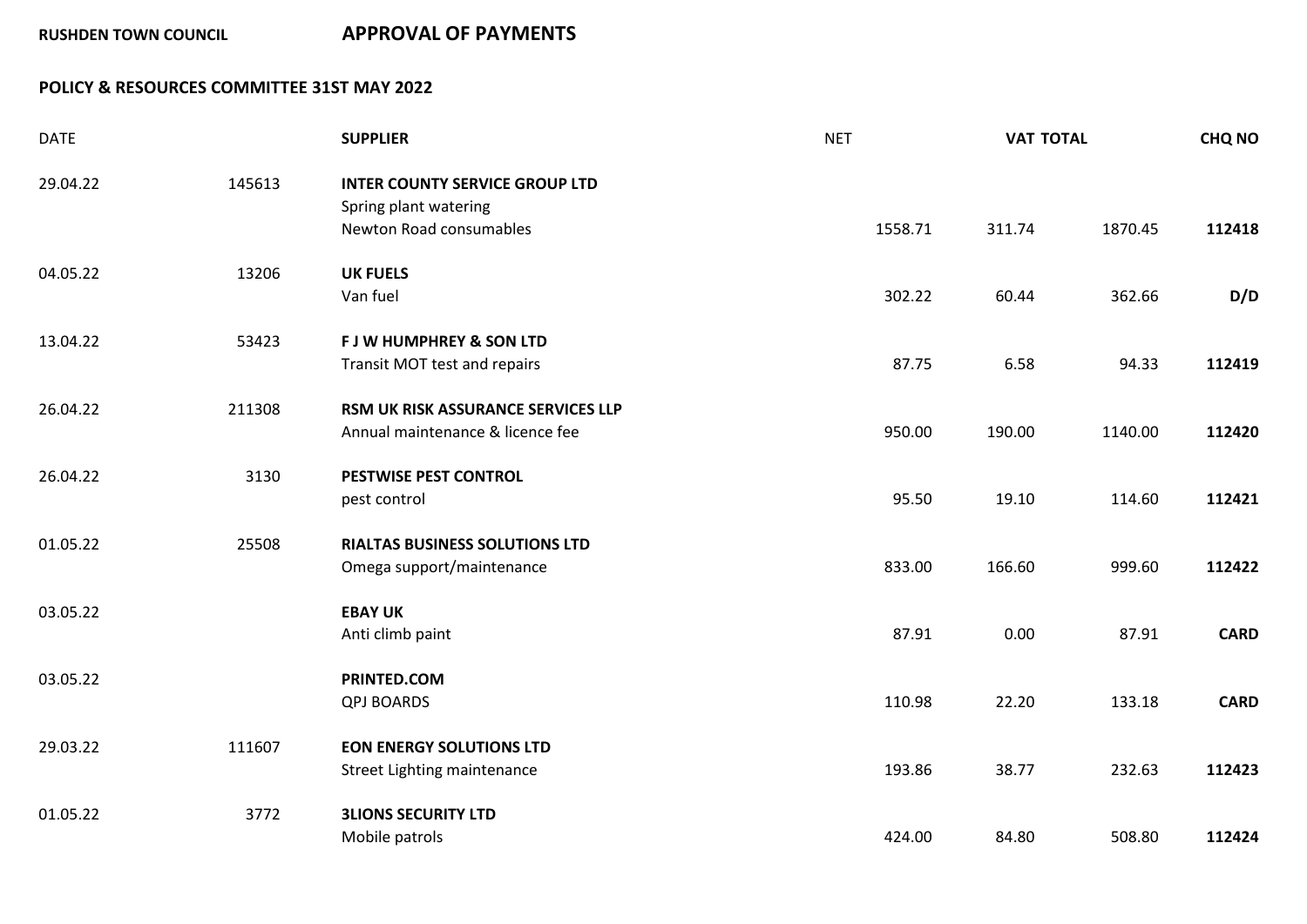## **POLICY & RESOURCES COMMITTEE 31ST MAY 2022**

| <b>DATE</b> |        | <b>SUPPLIER</b>                                                                           | <b>NET</b> | <b>VAT TOTAL</b> |         | <b>CHQ NO</b> |
|-------------|--------|-------------------------------------------------------------------------------------------|------------|------------------|---------|---------------|
| 29.04.22    | 145613 | <b>INTER COUNTY SERVICE GROUP LTD</b><br>Spring plant watering<br>Newton Road consumables | 1558.71    | 311.74           | 1870.45 | 112418        |
| 04.05.22    | 13206  | <b>UK FUELS</b><br>Van fuel                                                               | 302.22     | 60.44            | 362.66  | D/D           |
| 13.04.22    | 53423  | <b>FJW HUMPHREY &amp; SON LTD</b><br>Transit MOT test and repairs                         | 87.75      | 6.58             | 94.33   | 112419        |
| 26.04.22    | 211308 | RSM UK RISK ASSURANCE SERVICES LLP<br>Annual maintenance & licence fee                    | 950.00     | 190.00           | 1140.00 | 112420        |
| 26.04.22    | 3130   | <b>PESTWISE PEST CONTROL</b><br>pest control                                              | 95.50      | 19.10            | 114.60  | 112421        |
| 01.05.22    | 25508  | <b>RIALTAS BUSINESS SOLUTIONS LTD</b><br>Omega support/maintenance                        | 833.00     | 166.60           | 999.60  | 112422        |
| 03.05.22    |        | <b>EBAY UK</b><br>Anti climb paint                                                        | 87.91      | 0.00             | 87.91   | <b>CARD</b>   |
| 03.05.22    |        | PRINTED.COM<br><b>QPJ BOARDS</b>                                                          | 110.98     | 22.20            | 133.18  | <b>CARD</b>   |
| 29.03.22    | 111607 | <b>EON ENERGY SOLUTIONS LTD</b><br>Street Lighting maintenance                            | 193.86     | 38.77            | 232.63  | 112423        |
| 01.05.22    | 3772   | <b>3LIONS SECURITY LTD</b><br>Mobile patrols                                              | 424.00     | 84.80            | 508.80  | 112424        |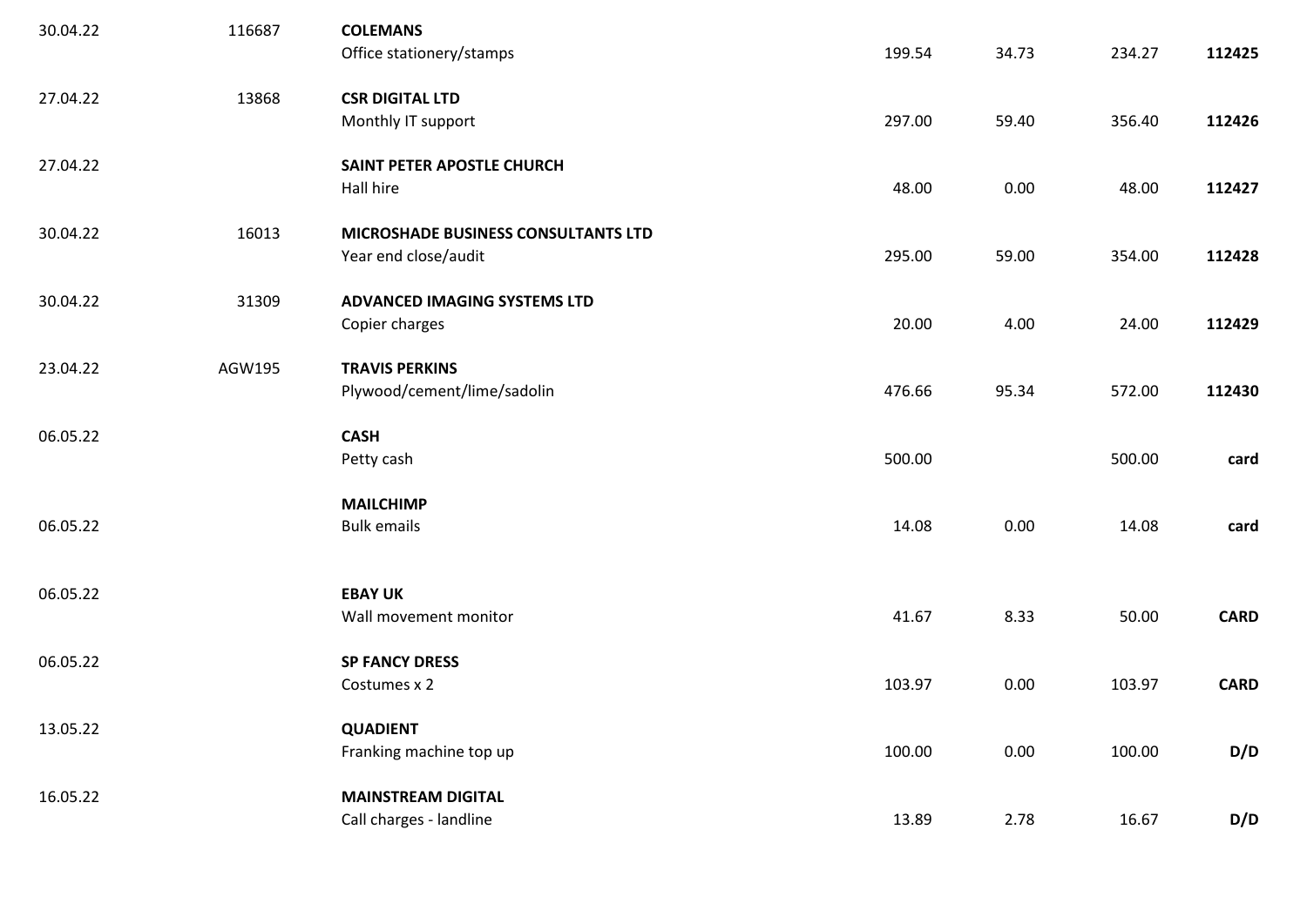| 30.04.22 | 116687 | <b>COLEMANS</b><br>Office stationery/stamps                        | 199.54 | 34.73 | 234.27 | 112425      |
|----------|--------|--------------------------------------------------------------------|--------|-------|--------|-------------|
| 27.04.22 | 13868  | <b>CSR DIGITAL LTD</b><br>Monthly IT support                       | 297.00 | 59.40 | 356.40 | 112426      |
| 27.04.22 |        | SAINT PETER APOSTLE CHURCH<br>Hall hire                            | 48.00  | 0.00  | 48.00  | 112427      |
| 30.04.22 | 16013  | <b>MICROSHADE BUSINESS CONSULTANTS LTD</b><br>Year end close/audit | 295.00 | 59.00 | 354.00 | 112428      |
| 30.04.22 | 31309  | ADVANCED IMAGING SYSTEMS LTD<br>Copier charges                     | 20.00  | 4.00  | 24.00  | 112429      |
| 23.04.22 | AGW195 | <b>TRAVIS PERKINS</b><br>Plywood/cement/lime/sadolin               | 476.66 | 95.34 | 572.00 | 112430      |
| 06.05.22 |        | <b>CASH</b><br>Petty cash                                          | 500.00 |       | 500.00 | card        |
| 06.05.22 |        | <b>MAILCHIMP</b><br><b>Bulk emails</b>                             | 14.08  | 0.00  | 14.08  | card        |
| 06.05.22 |        | <b>EBAY UK</b><br>Wall movement monitor                            | 41.67  | 8.33  | 50.00  | <b>CARD</b> |
| 06.05.22 |        | <b>SP FANCY DRESS</b><br>Costumes x 2                              | 103.97 | 0.00  | 103.97 | <b>CARD</b> |
| 13.05.22 |        | <b>QUADIENT</b><br>Franking machine top up                         | 100.00 | 0.00  | 100.00 | D/D         |
| 16.05.22 |        | <b>MAINSTREAM DIGITAL</b><br>Call charges - landline               | 13.89  | 2.78  | 16.67  | D/D         |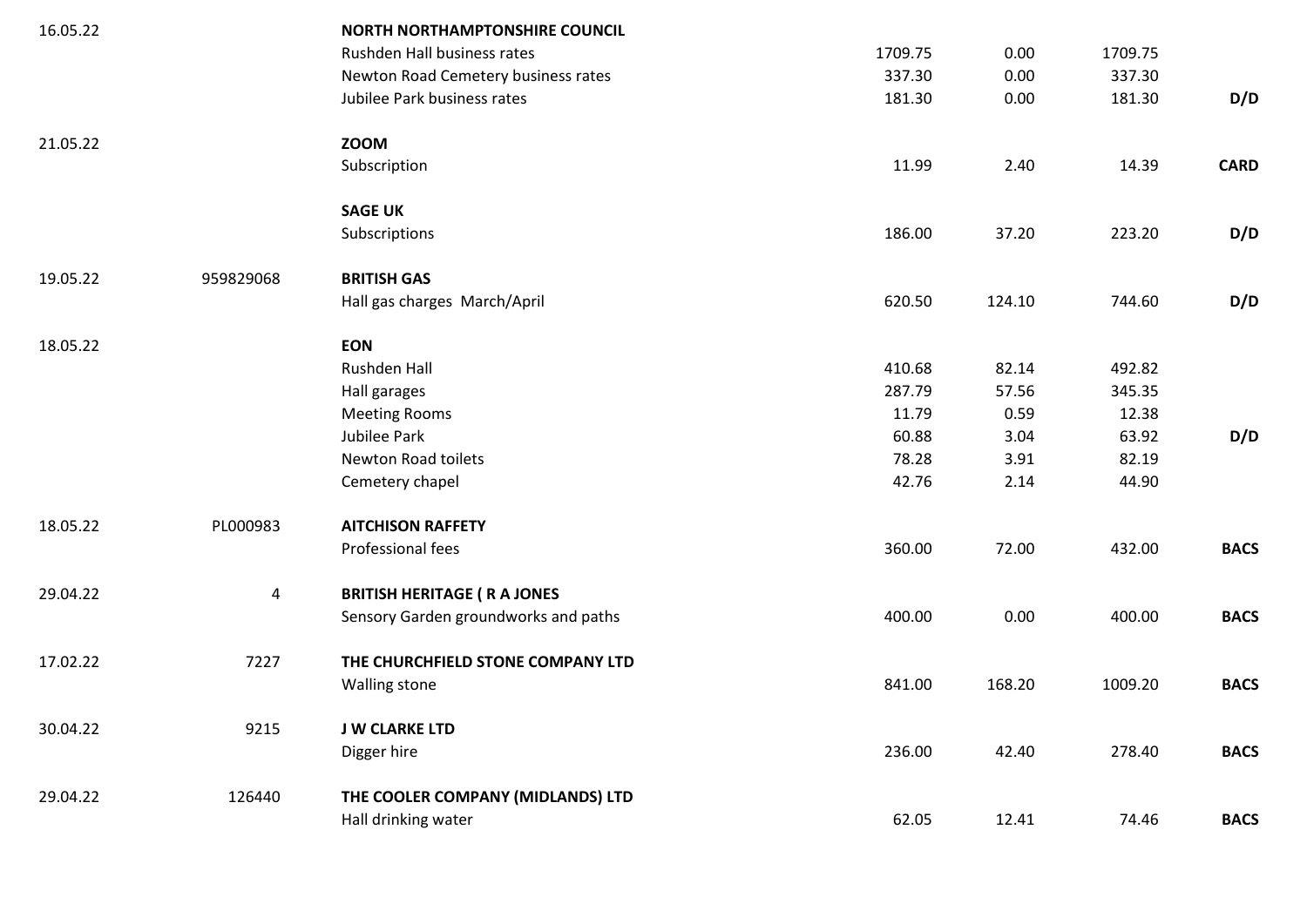| 16.05.22 |                | <b>NORTH NORTHAMPTONSHIRE COUNCIL</b> |         |        |         |             |
|----------|----------------|---------------------------------------|---------|--------|---------|-------------|
|          |                | Rushden Hall business rates           | 1709.75 | 0.00   | 1709.75 |             |
|          |                | Newton Road Cemetery business rates   | 337.30  | 0.00   | 337.30  |             |
|          |                | Jubilee Park business rates           | 181.30  | 0.00   | 181.30  | D/D         |
| 21.05.22 |                | <b>ZOOM</b>                           |         |        |         |             |
|          |                | Subscription                          | 11.99   | 2.40   | 14.39   | <b>CARD</b> |
|          |                | <b>SAGE UK</b>                        |         |        |         |             |
|          |                | Subscriptions                         | 186.00  | 37.20  | 223.20  | D/D         |
| 19.05.22 | 959829068      | <b>BRITISH GAS</b>                    |         |        |         |             |
|          |                | Hall gas charges March/April          | 620.50  | 124.10 | 744.60  | D/D         |
| 18.05.22 |                | <b>EON</b>                            |         |        |         |             |
|          |                | Rushden Hall                          | 410.68  | 82.14  | 492.82  |             |
|          |                | Hall garages                          | 287.79  | 57.56  | 345.35  |             |
|          |                | <b>Meeting Rooms</b>                  | 11.79   | 0.59   | 12.38   |             |
|          |                | Jubilee Park                          | 60.88   | 3.04   | 63.92   | D/D         |
|          |                | Newton Road toilets                   | 78.28   | 3.91   | 82.19   |             |
|          |                | Cemetery chapel                       | 42.76   | 2.14   | 44.90   |             |
| 18.05.22 | PL000983       | <b>AITCHISON RAFFETY</b>              |         |        |         |             |
|          |                | Professional fees                     | 360.00  | 72.00  | 432.00  | <b>BACS</b> |
| 29.04.22 | $\overline{4}$ | <b>BRITISH HERITAGE ( R A JONES</b>   |         |        |         |             |
|          |                | Sensory Garden groundworks and paths  | 400.00  | 0.00   | 400.00  | <b>BACS</b> |
| 17.02.22 | 7227           | THE CHURCHFIELD STONE COMPANY LTD     |         |        |         |             |
|          |                | Walling stone                         | 841.00  | 168.20 | 1009.20 | <b>BACS</b> |
| 30.04.22 | 9215           | <b>J W CLARKE LTD</b>                 |         |        |         |             |
|          |                | Digger hire                           | 236.00  | 42.40  | 278.40  | <b>BACS</b> |
| 29.04.22 | 126440         | THE COOLER COMPANY (MIDLANDS) LTD     |         |        |         |             |
|          |                | Hall drinking water                   | 62.05   | 12.41  | 74.46   | <b>BACS</b> |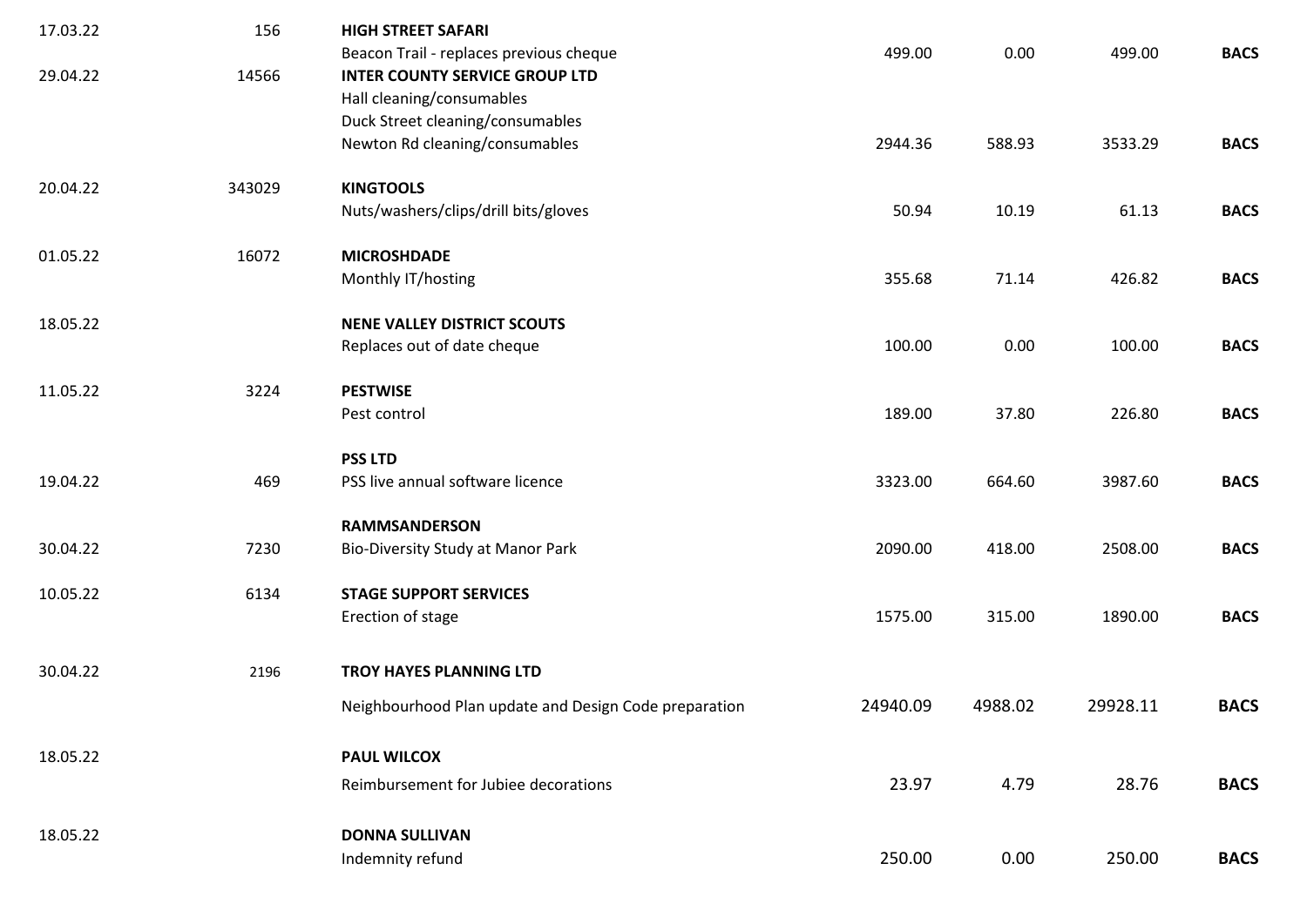| 17.03.22 | 156    | <b>HIGH STREET SAFARI</b>                                                                                     |          |         |          |             |
|----------|--------|---------------------------------------------------------------------------------------------------------------|----------|---------|----------|-------------|
| 29.04.22 | 14566  | Beacon Trail - replaces previous cheque<br><b>INTER COUNTY SERVICE GROUP LTD</b><br>Hall cleaning/consumables | 499.00   | 0.00    | 499.00   | <b>BACS</b> |
|          |        | Duck Street cleaning/consumables<br>Newton Rd cleaning/consumables                                            | 2944.36  | 588.93  | 3533.29  | <b>BACS</b> |
| 20.04.22 | 343029 | <b>KINGTOOLS</b><br>Nuts/washers/clips/drill bits/gloves                                                      | 50.94    | 10.19   | 61.13    | <b>BACS</b> |
| 01.05.22 | 16072  | <b>MICROSHDADE</b><br>Monthly IT/hosting                                                                      | 355.68   | 71.14   | 426.82   | <b>BACS</b> |
| 18.05.22 |        | <b>NENE VALLEY DISTRICT SCOUTS</b><br>Replaces out of date cheque                                             | 100.00   | 0.00    | 100.00   | <b>BACS</b> |
| 11.05.22 | 3224   | <b>PESTWISE</b><br>Pest control                                                                               | 189.00   | 37.80   | 226.80   | <b>BACS</b> |
| 19.04.22 | 469    | <b>PSS LTD</b><br>PSS live annual software licence                                                            | 3323.00  | 664.60  | 3987.60  | <b>BACS</b> |
| 30.04.22 | 7230   | <b>RAMMSANDERSON</b><br>Bio-Diversity Study at Manor Park                                                     | 2090.00  | 418.00  | 2508.00  | <b>BACS</b> |
| 10.05.22 | 6134   | <b>STAGE SUPPORT SERVICES</b><br>Erection of stage                                                            | 1575.00  | 315.00  | 1890.00  | <b>BACS</b> |
| 30.04.22 | 2196   | TROY HAYES PLANNING LTD                                                                                       |          |         |          |             |
|          |        | Neighbourhood Plan update and Design Code preparation                                                         | 24940.09 | 4988.02 | 29928.11 | <b>BACS</b> |
| 18.05.22 |        | <b>PAUL WILCOX</b><br>Reimbursement for Jubiee decorations                                                    | 23.97    | 4.79    | 28.76    | <b>BACS</b> |
| 18.05.22 |        | <b>DONNA SULLIVAN</b><br>Indemnity refund                                                                     | 250.00   | 0.00    | 250.00   | <b>BACS</b> |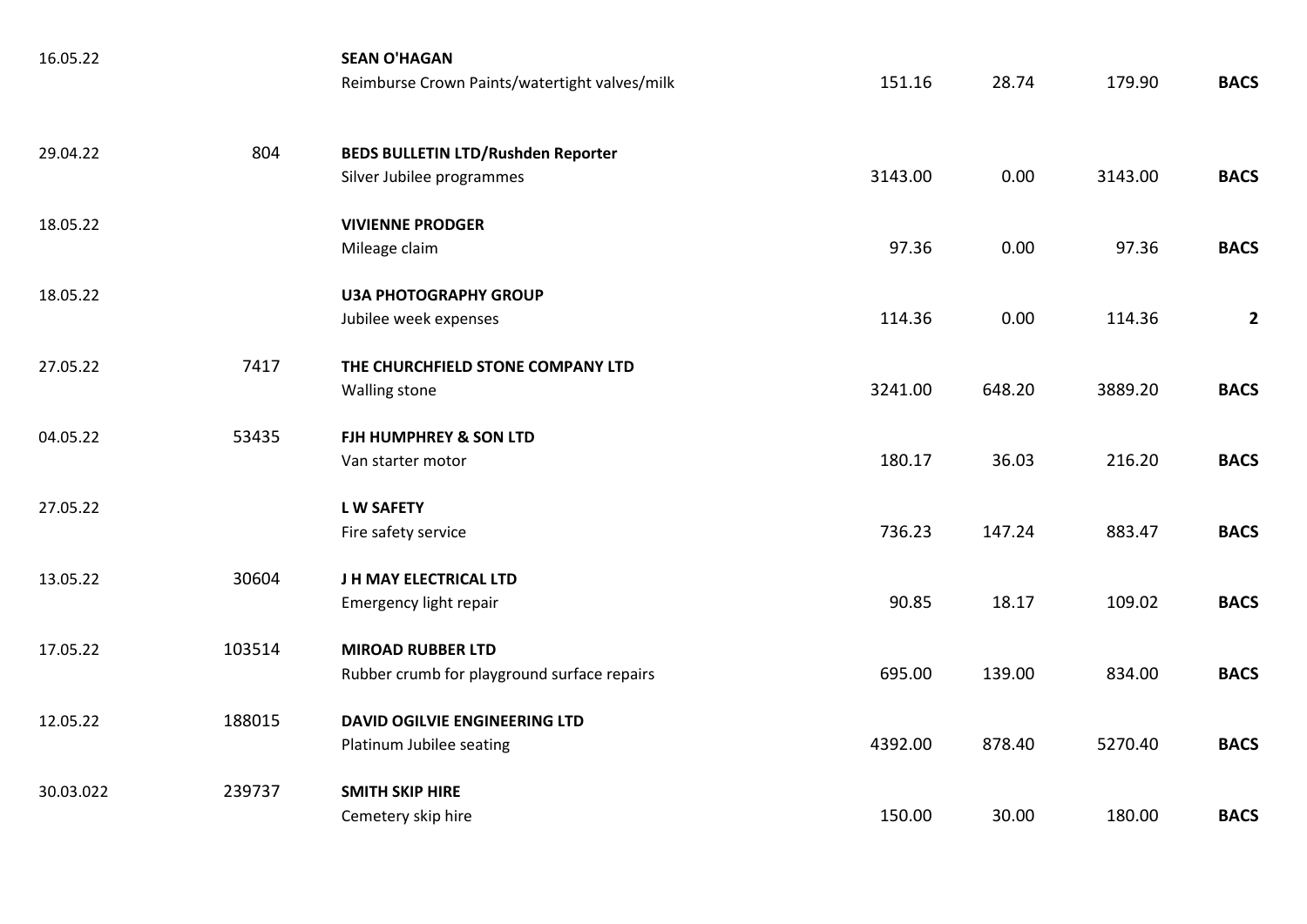| 16.05.22  |        | <b>SEAN O'HAGAN</b><br>Reimburse Crown Paints/watertight valves/milk    | 151.16  | 28.74  | 179.90  | <b>BACS</b>    |
|-----------|--------|-------------------------------------------------------------------------|---------|--------|---------|----------------|
| 29.04.22  | 804    | <b>BEDS BULLETIN LTD/Rushden Reporter</b><br>Silver Jubilee programmes  | 3143.00 | 0.00   | 3143.00 | <b>BACS</b>    |
| 18.05.22  |        | <b>VIVIENNE PRODGER</b><br>Mileage claim                                | 97.36   | 0.00   | 97.36   | <b>BACS</b>    |
| 18.05.22  |        | <b>U3A PHOTOGRAPHY GROUP</b><br>Jubilee week expenses                   | 114.36  | 0.00   | 114.36  | $\overline{2}$ |
| 27.05.22  | 7417   | THE CHURCHFIELD STONE COMPANY LTD<br>Walling stone                      | 3241.00 | 648.20 | 3889.20 | <b>BACS</b>    |
| 04.05.22  | 53435  | FJH HUMPHREY & SON LTD<br>Van starter motor                             | 180.17  | 36.03  | 216.20  | <b>BACS</b>    |
| 27.05.22  |        | <b>LW SAFETY</b><br>Fire safety service                                 | 736.23  | 147.24 | 883.47  | <b>BACS</b>    |
| 13.05.22  | 30604  | J H MAY ELECTRICAL LTD<br>Emergency light repair                        | 90.85   | 18.17  | 109.02  | <b>BACS</b>    |
| 17.05.22  | 103514 | <b>MIROAD RUBBER LTD</b><br>Rubber crumb for playground surface repairs | 695.00  | 139.00 | 834.00  | <b>BACS</b>    |
| 12.05.22  | 188015 | <b>DAVID OGILVIE ENGINEERING LTD</b><br>Platinum Jubilee seating        | 4392.00 | 878.40 | 5270.40 | <b>BACS</b>    |
| 30.03.022 | 239737 | <b>SMITH SKIP HIRE</b><br>Cemetery skip hire                            | 150.00  | 30.00  | 180.00  | <b>BACS</b>    |